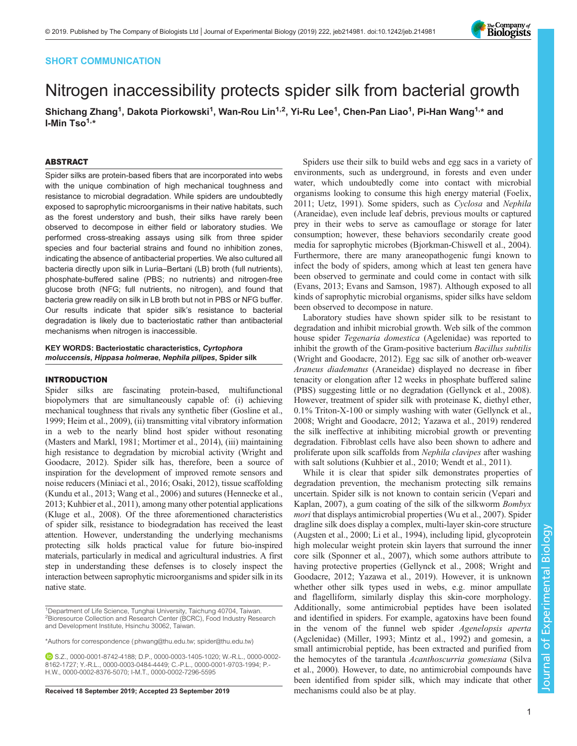# SHORT COMMUNICATION

# Nitrogen inaccessibility protects spider silk from bacterial growth

Shichang Zhang<sup>1</sup>, Dakota Piorkowski<sup>1</sup>, Wan-Rou Lin<sup>1,2</sup>, Yi-Ru Lee<sup>1</sup>, Chen-Pan Liao<sup>1</sup>, Pi-Han Wang<sup>1,</sup>\* and I-Min  $Tso<sup>1,*</sup>$ 

## ABSTRACT

Spider silks are protein-based fibers that are incorporated into webs with the unique combination of high mechanical toughness and resistance to microbial degradation. While spiders are undoubtedly exposed to saprophytic microorganisms in their native habitats, such as the forest understory and bush, their silks have rarely been observed to decompose in either field or laboratory studies. We performed cross-streaking assays using silk from three spider species and four bacterial strains and found no inhibition zones, indicating the absence of antibacterial properties. We also cultured all bacteria directly upon silk in Luria–Bertani (LB) broth (full nutrients), phosphate-buffered saline (PBS; no nutrients) and nitrogen-free glucose broth (NFG; full nutrients, no nitrogen), and found that bacteria grew readily on silk in LB broth but not in PBS or NFG buffer. Our results indicate that spider silk's resistance to bacterial degradation is likely due to bacteriostatic rather than antibacterial mechanisms when nitrogen is inaccessible.

## KEY WORDS: Bacteriostatic characteristics, Cyrtophora moluccensis, Hippasa holmerae, Nephila pilipes, Spider silk

#### INTRODUCTION

Spider silks are fascinating protein-based, multifunctional biopolymers that are simultaneously capable of: (i) achieving mechanical toughness that rivals any synthetic fiber ([Gosline et al.,](#page-5-0) [1999; Heim et al., 2009](#page-5-0)), (ii) transmitting vital vibratory information in a web to the nearly blind host spider without resonating [\(Masters and Markl, 1981; Mortimer et al., 2014](#page-5-0)), (iii) maintaining high resistance to degradation by microbial activity [\(Wright and](#page-5-0) [Goodacre, 2012](#page-5-0)). Spider silk has, therefore, been a source of inspiration for the development of improved remote sensors and noise reducers [\(Miniaci et al., 2016](#page-5-0); [Osaki, 2012\)](#page-5-0), tissue scaffolding [\(Kundu et al., 2013; Wang et al., 2006](#page-5-0)) and sutures ([Hennecke et al.,](#page-5-0) [2013; Kuhbier et al., 2011\)](#page-5-0), among many other potential applications [\(Kluge et al., 2008\)](#page-5-0). Of the three aforementioned characteristics of spider silk, resistance to biodegradation has received the least attention. However, understanding the underlying mechanisms protecting silk holds practical value for future bio-inspired materials, particularly in medical and agricultural industries. A first step in understanding these defenses is to closely inspect the interaction between saprophytic microorganisms and spider silk in its native state.

Received 18 September 2019; Accepted 23 September 2019 mechanisms could also be at play.

Spiders use their silk to build webs and egg sacs in a variety of environments, such as underground, in forests and even under water, which undoubtedly come into contact with microbial organisms looking to consume this high energy material ([Foelix,](#page-5-0) [2011; Uetz, 1991\)](#page-5-0). Some spiders, such as Cyclosa and Nephila (Araneidae), even include leaf debris, previous moults or captured prey in their webs to serve as camouflage or storage for later consumption; however, these behaviors secondarily create good media for saprophytic microbes [\(Bjorkman-Chiswell et al., 2004\)](#page-5-0). Furthermore, there are many araneopathogenic fungi known to infect the body of spiders, among which at least ten genera have been observed to germinate and could come in contact with silk [\(Evans, 2013](#page-5-0); [Evans and Samson, 1987](#page-5-0)). Although exposed to all kinds of saprophytic microbial organisms, spider silks have seldom been observed to decompose in nature.

Laboratory studies have shown spider silk to be resistant to degradation and inhibit microbial growth. Web silk of the common house spider Tegenaria domestica (Agelenidae) was reported to inhibit the growth of the Gram-positive bacterium Bacillus subtilis [\(Wright and Goodacre, 2012\)](#page-5-0). Egg sac silk of another orb-weaver Araneus diadematus (Araneidae) displayed no decrease in fiber tenacity or elongation after 12 weeks in phosphate buffered saline (PBS) suggesting little or no degradation ([Gellynck et al., 2008\)](#page-5-0). However, treatment of spider silk with proteinase K, diethyl ether, 0.1% Triton-X-100 or simply washing with water [\(Gellynck et al.,](#page-5-0) [2008; Wright and Goodacre, 2012; Yazawa et al., 2019](#page-5-0)) rendered the silk ineffective at inhibiting microbial growth or preventing degradation. Fibroblast cells have also been shown to adhere and proliferate upon silk scaffolds from Nephila clavipes after washing with salt solutions ([Kuhbier et al., 2010; Wendt et al., 2011](#page-5-0)).

While it is clear that spider silk demonstrates properties of degradation prevention, the mechanism protecting silk remains uncertain. Spider silk is not known to contain sericin ([Vepari and](#page-5-0) [Kaplan, 2007\)](#page-5-0), a gum coating of the silk of the silkworm Bombyx mori that displays antimicrobial properties ([Wu et al., 2007\)](#page-5-0). Spider dragline silk does display a complex, multi-layer skin-core structure [\(Augsten et al., 2000; Li et al., 1994\)](#page-5-0), including lipid, glycoprotein high molecular weight protein skin layers that surround the inner core silk ([Sponner et al., 2007](#page-5-0)), which some authors attribute to having protective properties [\(Gellynck et al., 2008; Wright and](#page-5-0) [Goodacre, 2012; Yazawa et al., 2019](#page-5-0)). However, it is unknown whether other silk types used in webs, e.g. minor ampullate and flagelliform, similarly display this skin-core morphology. Additionally, some antimicrobial peptides have been isolated and identified in spiders. For example, agatoxins have been found in the venom of the funnel web spider Agenelopsis aperta (Agclenidae) [\(Miller, 1993](#page-5-0); [Mintz et al., 1992](#page-5-0)) and gomesin, a small antimicrobial peptide, has been extracted and purified from the hemocytes of the tarantula Acanthoscurria gomesiana ([Silva](#page-5-0) [et al., 2000](#page-5-0)). However, to date, no antimicrobial compounds have been identified from spider silk, which may indicate that other



<sup>&</sup>lt;sup>1</sup>Department of Life Science, Tunghai University, Taichung 40704, Taiwan. <sup>2</sup> Bioresource Collection and Research Center (BCRC), Food Industry Research and Development Institute, Hsinchu 30062, Taiwan.

<sup>\*</sup>Authors for correspondence ([phwang@thu.edu.tw;](mailto:phwang@thu.edu.tw) [spider@thu.edu.tw\)](mailto:spider@thu.edu.tw)

S.Z., [0000-0001-8742-4188](http://orcid.org/0000-0001-8742-4188); D.P., [0000-0003-1405-1020](http://orcid.org/0000-0003-1405-1020); W.-R.L., [0000-0002-](http://orcid.org/0000-0002-8162-1727) [8162-1727](http://orcid.org/0000-0002-8162-1727); Y.-R.L., [0000-0003-0484-4449](http://orcid.org/0000-0003-0484-4449); C.-P.L., [0000-0001-9703-1994](http://orcid.org/0000-0001-9703-1994); P.- H.W., [0000-0002-8376-5070](http://orcid.org/0000-0002-8376-5070); I-M.T., [0000-0002-7296-5595](http://orcid.org/0000-0002-7296-5595)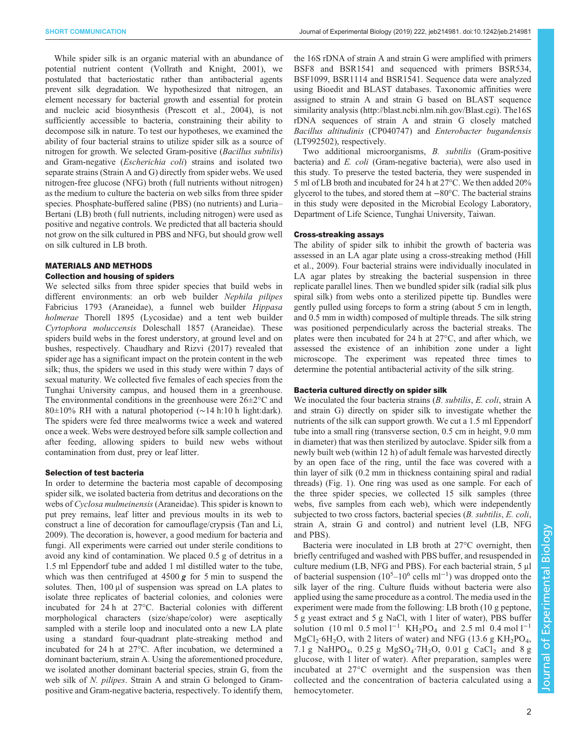While spider silk is an organic material with an abundance of potential nutrient content ([Vollrath and Knight, 2001\)](#page-5-0), we postulated that bacteriostatic rather than antibacterial agents prevent silk degradation. We hypothesized that nitrogen, an element necessary for bacterial growth and essential for protein and nucleic acid biosynthesis [\(Prescott et al., 2004\)](#page-5-0), is not sufficiently accessible to bacteria, constraining their ability to decompose silk in nature. To test our hypotheses, we examined the ability of four bacterial strains to utilize spider silk as a source of nitrogen for growth. We selected Gram-positive (Bacillus subtilis) and Gram-negative (Escherichia coli) strains and isolated two separate strains (Strain A and G) directly from spider webs. We used nitrogen-free glucose (NFG) broth (full nutrients without nitrogen) as the medium to culture the bacteria on web silks from three spider species. Phosphate-buffered saline (PBS) (no nutrients) and Luria– Bertani (LB) broth (full nutrients, including nitrogen) were used as positive and negative controls. We predicted that all bacteria should not grow on the silk cultured in PBS and NFG, but should grow well on silk cultured in LB broth.

# MATERIALS AND METHODS

# Collection and housing of spiders

We selected silks from three spider species that build webs in different environments: an orb web builder Nephila pilipes Fabricius 1793 (Araneidae), a funnel web builder Hippasa holmerae Thorell 1895 (Lycosidae) and a tent web builder Cyrtophora moluccensis Doleschall 1857 (Araneidae). These spiders build webs in the forest understory, at ground level and on bushes, respectively. [Chaudhary and Rizvi \(2017\)](#page-5-0) revealed that spider age has a significant impact on the protein content in the web silk; thus, the spiders we used in this study were within 7 days of sexual maturity. We collected five females of each species from the Tunghai University campus, and housed them in a greenhouse. The environmental conditions in the greenhouse were  $26 \pm 2^{\circ}$ C and 80±10% RH with a natural photoperiod (∼14 h:10 h light:dark). The spiders were fed three mealworms twice a week and watered once a week. Webs were destroyed before silk sample collection and after feeding, allowing spiders to build new webs without contamination from dust, prey or leaf litter.

#### Selection of test bacteria

In order to determine the bacteria most capable of decomposing spider silk, we isolated bacteria from detritus and decorations on the webs of Cyclosa mulmeinensis (Araneidae). This spider is known to put prey remains, leaf litter and previous moults in its web to construct a line of decoration for camouflage/crypsis [\(Tan and Li,](#page-5-0) [2009](#page-5-0)). The decoration is, however, a good medium for bacteria and fungi. All experiments were carried out under sterile conditions to avoid any kind of contamination. We placed 0.5 g of detritus in a 1.5 ml Eppendorf tube and added 1 ml distilled water to the tube, which was then centrifuged at  $4500 \, \text{g}$  for 5 min to suspend the solutes. Then, 100 μl of suspension was spread on LA plates to isolate three replicates of bacterial colonies, and colonies were incubated for 24 h at 27°C. Bacterial colonies with different morphological characters (size/shape/color) were aseptically sampled with a sterile loop and inoculated onto a new LA plate using a standard four-quadrant plate-streaking method and incubated for 24 h at 27°C. After incubation, we determined a dominant bacterium, strain A. Using the aforementioned procedure, we isolated another dominant bacterial species, strain G, from the web silk of N. *pilipes*. Strain A and strain G belonged to Grampositive and Gram-negative bacteria, respectively. To identify them,

the 16S rDNA of strain A and strain G were amplified with primers BSF8 and BSR1541 and sequenced with primers BSR534, BSF1099, BSR1114 and BSR1541. Sequence data were analyzed using Bioedit and BLAST databases. Taxonomic affinities were assigned to strain A and strain G based on BLAST sequence similarity analysis ([http://blast.ncbi.nlm.nih.gov/Blast.cgi\)](http://blast.ncbi.nlm.nih.gov/Blast.cgi). The16S rDNA sequences of strain A and strain G closely matched Bacillus altitudinis (CP040747) and Enterobacter bugandensis (LT992502), respectively.

Two additional microorganisms, B. subtilis (Gram-positive bacteria) and E. coli (Gram-negative bacteria), were also used in this study. To preserve the tested bacteria, they were suspended in 5 ml of LB broth and incubated for 24 h at 27°C. We then added 20% glycerol to the tubes, and stored them at −80°C. The bacterial strains in this study were deposited in the Microbial Ecology Laboratory, Department of Life Science, Tunghai University, Taiwan.

## Cross-streaking assays

The ability of spider silk to inhibit the growth of bacteria was assessed in an LA agar plate using a cross-streaking method [\(Hill](#page-5-0) [et al., 2009\)](#page-5-0). Four bacterial strains were individually inoculated in LA agar plates by streaking the bacterial suspension in three replicate parallel lines. Then we bundled spider silk (radial silk plus spiral silk) from webs onto a sterilized pipette tip. Bundles were gently pulled using forceps to form a string (about 5 cm in length, and 0.5 mm in width) composed of multiple threads. The silk string was positioned perpendicularly across the bacterial streaks. The plates were then incubated for 24 h at 27°C, and after which, we assessed the existence of an inhibition zone under a light microscope. The experiment was repeated three times to determine the potential antibacterial activity of the silk string.

### Bacteria cultured directly on spider silk

We inoculated the four bacteria strains (B. subtilis, E. coli, strain A and strain G) directly on spider silk to investigate whether the nutrients of the silk can support growth. We cut a 1.5 ml Eppendorf tube into a small ring (transverse section, 0.5 cm in height, 9.0 mm in diameter) that was then sterilized by autoclave. Spider silk from a newly built web (within 12 h) of adult female was harvested directly by an open face of the ring, until the face was covered with a thin layer of silk (0.2 mm in thickness containing spiral and radial threads) ([Fig. 1\)](#page-2-0). One ring was used as one sample. For each of the three spider species, we collected 15 silk samples (three webs, five samples from each web), which were independently subjected to two cross factors, bacterial species (B. subtilis, E. coli, strain A, strain G and control) and nutrient level (LB, NFG and PBS).

Bacteria were inoculated in LB broth at 27°C overnight, then briefly centrifuged and washed with PBS buffer, and resuspended in culture medium (LB, NFG and PBS). For each bacterial strain, 5 μl of bacterial suspension  $(10^5-10^6 \text{ cells m}^{-1})$  was dropped onto the silk layer of the ring. Culture fluids without bacteria were also applied using the same procedure as a control. The media used in the experiment were made from the following: LB broth (10 g peptone, 5 g yeast extract and 5 g NaCl, with 1 liter of water), PBS buffer solution (10 ml 0.5 mol l<sup>-1</sup> KH<sub>2</sub>PO<sub>4</sub> and 2.5 ml 0.4 mol l<sup>-1</sup>  $MgCl<sub>2</sub>·6H<sub>2</sub>O$ , with 2 liters of water) and NFG (13.6 g KH<sub>2</sub>PO<sub>4</sub>, 7.1 g NaHPO<sub>4</sub>, 0.25 g MgSO<sub>4</sub>·7H<sub>2</sub>O, 0.01 g CaCl<sub>2</sub> and 8 g glucose, with 1 liter of water). After preparation, samples were incubated at 27°C overnight and the suspension was then collected and the concentration of bacteria calculated using a hemocytometer.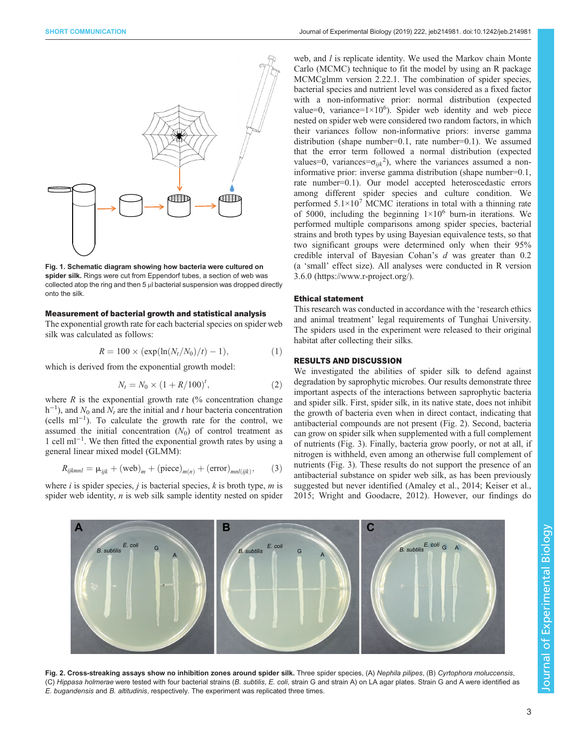<span id="page-2-0"></span>

Fig. 1. Schematic diagram showing how bacteria were cultured on spider silk. Rings were cut from Eppendorf tubes, a section of web was collected atop the ring and then 5 μl bacterial suspension was dropped directly onto the silk.

### Measurement of bacterial growth and statistical analysis

The exponential growth rate for each bacterial species on spider web silk was calculated as follows:

$$
R = 100 \times (\exp(\ln(N_t/N_0)/t) - 1), \tag{1}
$$

which is derived from the exponential growth model:

$$
N_t = N_0 \times (1 + R/100)^t, \tag{2}
$$

where  $R$  is the exponential growth rate  $\frac{1}{6}$  concentration change  $h^{-1}$ ), and  $N_0$  and  $N_t$  are the initial and t hour bacteria concentration (cells ml−<sup>1</sup> ). To calculate the growth rate for the control, we assumed the initial concentration  $(N_0)$  of control treatment as 1 cell ml−<sup>1</sup> . We then fitted the exponential growth rates by using a general linear mixed model (GLMM):

$$
R_{ijklmnl} = \mu_{ijk} + (\text{web})_m + (\text{piece})_{m(n)} + (\text{error})_{mnl(ijk)},
$$
 (3)

where i is spider species, j is bacterial species,  $k$  is broth type,  $m$  is spider web identity,  $n$  is web silk sample identity nested on spider

web, and *l* is replicate identity. We used the Markov chain Monte Carlo (MCMC) technique to fit the model by using an R package MCMCglmm version 2.22.1. The combination of spider species, bacterial species and nutrient level was considered as a fixed factor with a non-informative prior: normal distribution (expected value=0, variance= $1 \times 10^6$ ). Spider web identity and web piece nested on spider web were considered two random factors, in which their variances follow non-informative priors: inverse gamma distribution (shape number=0.1, rate number=0.1). We assumed that the error term followed a normal distribution (expected values=0, variances= $\sigma_{ijk}^2$ ), where the variances assumed a noninformative prior: inverse gamma distribution (shape number=0.1, rate number=0.1). Our model accepted heteroscedastic errors among different spider species and culture condition. We performed  $5.1 \times 10^7$  MCMC iterations in total with a thinning rate of 5000, including the beginning  $1\times10^6$  burn-in iterations. We performed multiple comparisons among spider species, bacterial strains and broth types by using Bayesian equivalence tests, so that two significant groups were determined only when their 95% credible interval of Bayesian Cohan's d was greater than 0.2 (a 'small' effect size). All analyses were conducted in R version 3.6.0 (<https://www.r-project.org/>).

#### Ethical statement

This research was conducted in accordance with the 'research ethics and animal treatment' legal requirements of Tunghai University. The spiders used in the experiment were released to their original habitat after collecting their silks.

## RESULTS AND DISCUSSION

We investigated the abilities of spider silk to defend against degradation by saprophytic microbes. Our results demonstrate three important aspects of the interactions between saprophytic bacteria and spider silk. First, spider silk, in its native state, does not inhibit the growth of bacteria even when in direct contact, indicating that antibacterial compounds are not present (Fig. 2). Second, bacteria can grow on spider silk when supplemented with a full complement of nutrients ([Fig. 3](#page-3-0)). Finally, bacteria grow poorly, or not at all, if nitrogen is withheld, even among an otherwise full complement of nutrients ([Fig. 3\)](#page-3-0). These results do not support the presence of an antibacterial substance on spider web silk, as has been previously suggested but never identified [\(Amaley et al., 2014](#page-5-0); [Keiser et al.,](#page-5-0) [2015; Wright and Goodacre, 2012](#page-5-0)). However, our findings do



Fig. 2. Cross-streaking assays show no inhibition zones around spider silk. Three spider species, (A) Nephila pilipes, (B) Cyrtophora moluccensis, (C) Hippasa holmerae were tested with four bacterial strains (B. subtilis, E. coli, strain G and strain A) on LA agar plates. Strain G and A were identified as E. bugandensis and B. altitudinis, respectively. The experiment was replicated three times.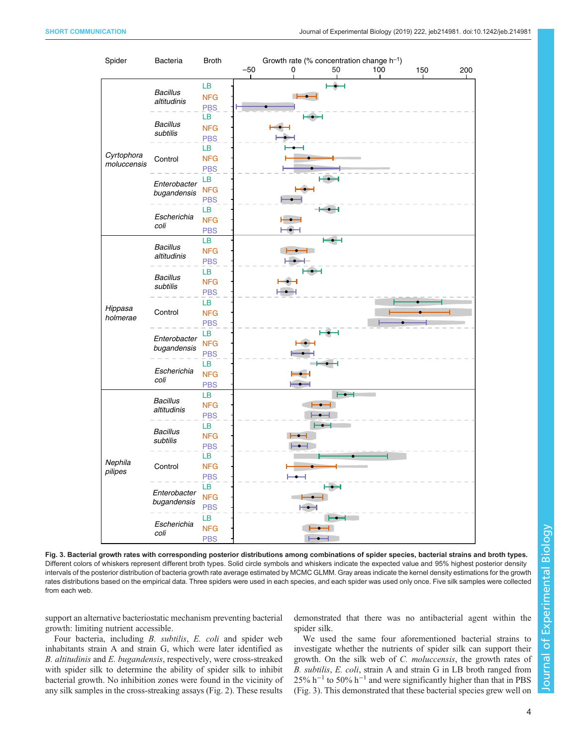<span id="page-3-0"></span>

Fig. 3. Bacterial growth rates with corresponding posterior distributions among combinations of spider species, bacterial strains and broth types. Different colors of whiskers represent different broth types. Solid circle symbols and whiskers indicate the expected value and 95% highest posterior density intervals of the posterior distribution of bacteria growth rate average estimated by MCMC GLMM. Gray areas indicate the kernel density estimations for the growth rates distributions based on the empirical data. Three spiders were used in each species, and each spider was used only once. Five silk samples were collected from each web.

support an alternative bacteriostatic mechanism preventing bacterial growth: limiting nutrient accessible.

Four bacteria, including B. subtilis, E. coli and spider web inhabitants strain A and strain G, which were later identified as B. altitudinis and E. bugandensis, respectively, were cross-streaked with spider silk to determine the ability of spider silk to inhibit bacterial growth. No inhibition zones were found in the vicinity of any silk samples in the cross-streaking assays ([Fig. 2\)](#page-2-0). These results demonstrated that there was no antibacterial agent within the spider silk.

We used the same four aforementioned bacterial strains to investigate whether the nutrients of spider silk can support their growth. On the silk web of C. moluccensis, the growth rates of B. subtilis, E. coli, strain A and strain G in LB broth ranged from 25% h<sup>-1</sup> to 50% h<sup>-1</sup> and were significantly higher than that in PBS (Fig. 3). This demonstrated that these bacterial species grew well on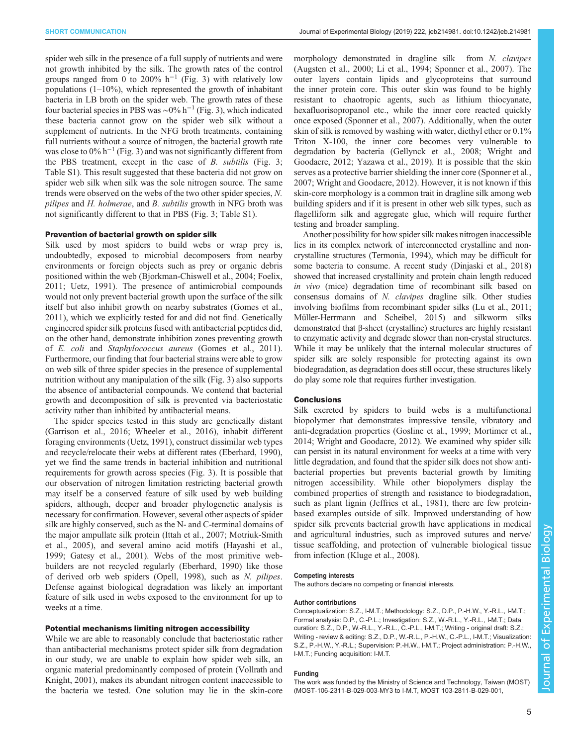spider web silk in the presence of a full supply of nutrients and were not growth inhibited by the silk. The growth rates of the control groups ranged from 0 to 200%  $h^{-1}$  ([Fig. 3](#page-3-0)) with relatively low populations  $(1-10\%)$ , which represented the growth of inhabitant bacteria in LB broth on the spider web. The growth rates of these four bacterial species in PBS was ~0% h<sup>-1</sup> ([Fig. 3](#page-3-0)), which indicated these bacteria cannot grow on the spider web silk without a supplement of nutrients. In the NFG broth treatments, containing full nutrients without a source of nitrogen, the bacterial growth rate was close to  $0\%$  h<sup>-1</sup> [\(Fig. 3\)](#page-3-0) and was not significantly different from the PBS treatment, except in the case of B. subtilis [\(Fig. 3](#page-3-0); [Table S1\)](http://jeb.biologists.org/lookup/doi/10.1242/jeb.214981.supplemental). This result suggested that these bacteria did not grow on spider web silk when silk was the sole nitrogen source. The same trends were observed on the webs of the two other spider species, N. pilipes and H. holmerae, and B. subtilis growth in NFG broth was not significantly different to that in PBS [\(Fig. 3;](#page-3-0) [Table S1\)](http://jeb.biologists.org/lookup/doi/10.1242/jeb.214981.supplemental).

# Prevention of bacterial growth on spider silk

Silk used by most spiders to build webs or wrap prey is, undoubtedly, exposed to microbial decomposers from nearby environments or foreign objects such as prey or organic debris positioned within the web ([Bjorkman-Chiswell et al., 2004; Foelix,](#page-5-0) [2011](#page-5-0); [Uetz, 1991](#page-5-0)). The presence of antimicrobial compounds would not only prevent bacterial growth upon the surface of the silk itself but also inhibit growth on nearby substrates ([Gomes et al.,](#page-5-0) [2011](#page-5-0)), which we explicitly tested for and did not find. Genetically engineered spider silk proteins fused with antibacterial peptides did, on the other hand, demonstrate inhibition zones preventing growth of E. coli and Staphylococcus aureus [\(Gomes et al., 2011\)](#page-5-0). Furthermore, our finding that four bacterial strains were able to grow on web silk of three spider species in the presence of supplemental nutrition without any manipulation of the silk ([Fig. 3](#page-3-0)) also supports the absence of antibacterial compounds. We contend that bacterial growth and decomposition of silk is prevented via bacteriostatic activity rather than inhibited by antibacterial means.

The spider species tested in this study are genetically distant [\(Garrison et al., 2016; Wheeler et al., 2016\)](#page-5-0), inhabit different foraging environments [\(Uetz, 1991](#page-5-0)), construct dissimilar web types and recycle/relocate their webs at different rates ([Eberhard, 1990\)](#page-5-0), yet we find the same trends in bacterial inhibition and nutritional requirements for growth across species ([Fig. 3\)](#page-3-0). It is possible that our observation of nitrogen limitation restricting bacterial growth may itself be a conserved feature of silk used by web building spiders, although, deeper and broader phylogenetic analysis is necessary for confirmation. However, several other aspects of spider silk are highly conserved, such as the N- and C-terminal domains of the major ampullate silk protein [\(Ittah et al., 2007](#page-5-0); [Motriuk-Smith](#page-5-0) [et al., 2005](#page-5-0)), and several amino acid motifs [\(Hayashi et al.,](#page-5-0) [1999](#page-5-0); [Gatesy et al., 2001\)](#page-5-0). Webs of the most primitive webbuilders are not recycled regularly [\(Eberhard, 1990\)](#page-5-0) like those of derived orb web spiders [\(Opell, 1998\)](#page-5-0), such as N. pilipes. Defense against biological degradation was likely an important feature of silk used in webs exposed to the environment for up to weeks at a time.

#### Potential mechanisms limiting nitrogen accessibility

While we are able to reasonably conclude that bacteriostatic rather than antibacterial mechanisms protect spider silk from degradation in our study, we are unable to explain how spider web silk, an organic material predominantly composed of protein ([Vollrath and](#page-5-0) [Knight, 2001](#page-5-0)), makes its abundant nitrogen content inaccessible to the bacteria we tested. One solution may lie in the skin-core

morphology demonstrated in dragline silk from N. clavipes [\(Augsten et al., 2000; Li et al., 1994; Sponner et al., 2007](#page-5-0)). The outer layers contain lipids and glycoproteins that surround the inner protein core. This outer skin was found to be highly resistant to chaotropic agents, such as lithium thiocyanate, hexafluorisopropanol etc., while the inner core reacted quickly once exposed [\(Sponner et al., 2007](#page-5-0)). Additionally, when the outer skin of silk is removed by washing with water, diethyl ether or 0.1% Triton X-100, the inner core becomes very vulnerable to degradation by bacteria [\(Gellynck et al., 2008](#page-5-0); [Wright and](#page-5-0) [Goodacre, 2012; Yazawa et al., 2019](#page-5-0)). It is possible that the skin serves as a protective barrier shielding the inner core ([Sponner et al.,](#page-5-0) [2007; Wright and Goodacre, 2012\)](#page-5-0). However, it is not known if this skin-core morphology is a common trait in dragline silk among web building spiders and if it is present in other web silk types, such as flagelliform silk and aggregate glue, which will require further testing and broader sampling.

Another possibility for how spider silk makes nitrogen inaccessible lies in its complex network of interconnected crystalline and noncrystalline structures ([Termonia, 1994](#page-5-0)), which may be difficult for some bacteria to consume. A recent study ([Dinjaski et al., 2018\)](#page-5-0) showed that increased crystallinity and protein chain length reduced in vivo (mice) degradation time of recombinant silk based on consensus domains of N. clavipes dragline silk. Other studies involving biofilms from recombinant spider silks [\(Lu et al., 2011](#page-5-0); [Müller-Herrmann and Scheibel, 2015\)](#page-5-0) and silkworm silks demonstrated that β-sheet (crystalline) structures are highly resistant to enzymatic activity and degrade slower than non-crystal structures. While it may be unlikely that the internal molecular structures of spider silk are solely responsible for protecting against its own biodegradation, as degradation does still occur, these structures likely do play some role that requires further investigation.

#### **Conclusions**

Silk excreted by spiders to build webs is a multifunctional biopolymer that demonstrates impressive tensile, vibratory and anti-degradation properties [\(Gosline et al., 1999](#page-5-0); [Mortimer et al.,](#page-5-0) [2014; Wright and Goodacre, 2012\)](#page-5-0). We examined why spider silk can persist in its natural environment for weeks at a time with very little degradation, and found that the spider silk does not show antibacterial properties but prevents bacterial growth by limiting nitrogen accessibility. While other biopolymers display the combined properties of strength and resistance to biodegradation, such as plant lignin [\(Jeffries et al., 1981\)](#page-5-0), there are few proteinbased examples outside of silk. Improved understanding of how spider silk prevents bacterial growth have applications in medical and agricultural industries, such as improved sutures and nerve/ tissue scaffolding, and protection of vulnerable biological tissue from infection ([Kluge et al., 2008](#page-5-0)).

#### Competing interests

The authors declare no competing or financial interests.

#### Author contributions

Conceptualization: S.Z., I-M.T.; Methodology: S.Z., D.P., P.-H.W., Y.-R.L., I-M.T.; Formal analysis: D.P., C.-P.L.; Investigation: S.Z., W.-R.L., Y.-R.L., I-M.T.; Data curation: S.Z., D.P., W.-R.L., Y.-R.L., C.-P.L., I-M.T.; Writing - original draft: S.Z.; Writing - review & editing: S.Z., D.P., W.-R.L., P.-H.W., C.-P.L., I-M.T.; Visualization: S.Z., P.-H.W., Y.-R.L.; Supervision: P.-H.W., I-M.T.; Project administration: P.-H.W., I-M.T.; Funding acquisition: I-M.T.

#### Funding

The work was funded by the Ministry of Science and Technology, Taiwan (MOST) (MOST-106-2311-B-029-003-MY3 to I-M.T, MOST 103-2811-B-029-001,